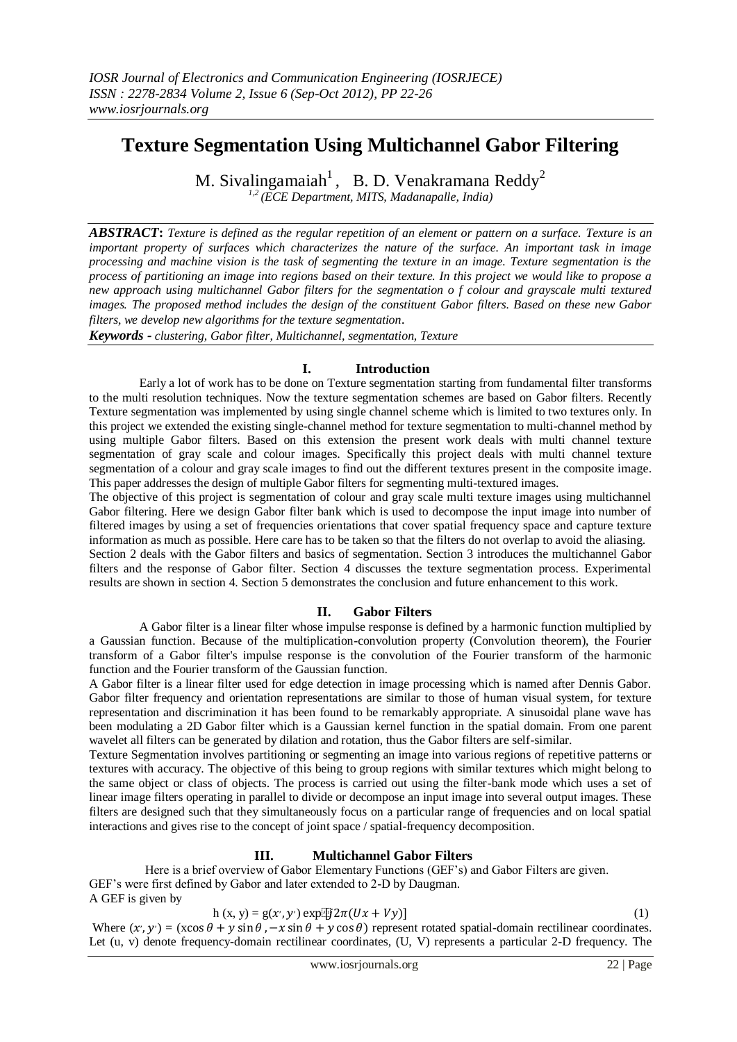# **Texture Segmentation Using Multichannel Gabor Filtering**

M. Sivalingamaiah<sup>1</sup>, B. D. Venakramana Reddy<sup>2</sup>

*1,2 (ECE Department, MITS, Madanapalle, India)*

*ABSTRACT***:** *Texture is defined as the regular repetition of an element or pattern on a surface. Texture is an important property of surfaces which characterizes the nature of the surface. An important task in image processing and machine vision is the task of segmenting the texture in an image. Texture segmentation is the process of partitioning an image into regions based on their texture. In this project we would like to propose a new approach using multichannel Gabor filters for the segmentation o f colour and grayscale multi textured images. The proposed method includes the design of the constituent Gabor filters. Based on these new Gabor filters, we develop new algorithms for the texture segmentation.*

*Keywords - clustering, Gabor filter, Multichannel, segmentation, Texture*

## **I. Introduction**

Early a lot of work has to be done on Texture segmentation starting from fundamental filter transforms to the multi resolution techniques. Now the texture segmentation schemes are based on Gabor filters. Recently Texture segmentation was implemented by using single channel scheme which is limited to two textures only. In this project we extended the existing single-channel method for texture segmentation to multi-channel method by using multiple Gabor filters. Based on this extension the present work deals with multi channel texture segmentation of gray scale and colour images. Specifically this project deals with multi channel texture segmentation of a colour and gray scale images to find out the different textures present in the composite image. This paper addresses the design of multiple Gabor filters for segmenting multi-textured images.

The objective of this project is segmentation of colour and gray scale multi texture images using multichannel Gabor filtering. Here we design Gabor filter bank which is used to decompose the input image into number of filtered images by using a set of frequencies orientations that cover spatial frequency space and capture texture information as much as possible. Here care has to be taken so that the filters do not overlap to avoid the aliasing.

Section 2 deals with the Gabor filters and basics of segmentation. Section 3 introduces the multichannel Gabor filters and the response of Gabor filter. Section 4 discusses the texture segmentation process. Experimental results are shown in section 4. Section 5 demonstrates the conclusion and future enhancement to this work.

## **II. Gabor Filters**

A Gabor filter is a linear filter whose impulse response is defined by a harmonic function multiplied by a Gaussian function. Because of the multiplication-convolution property (Convolution theorem), the Fourier transform of a Gabor filter's impulse response is the convolution of the Fourier transform of the harmonic function and the Fourier transform of the Gaussian function.

A Gabor filter is a linear filter used for edge detection in image processing which is named after Dennis Gabor. Gabor filter frequency and orientation representations are similar to those of human visual system, for texture representation and discrimination it has been found to be remarkably appropriate. A sinusoidal plane wave has been modulating a 2D Gabor filter which is a Gaussian kernel function in the spatial domain. From one parent wavelet all filters can be generated by dilation and rotation, thus the Gabor filters are self-similar.

Texture Segmentation involves partitioning or segmenting an image into various regions of repetitive patterns or textures with accuracy. The objective of this being to group regions with similar textures which might belong to the same object or class of objects. The process is carried out using the filter-bank mode which uses a set of linear image filters operating in parallel to divide or decompose an input image into several output images. These filters are designed such that they simultaneously focus on a particular range of frequencies and on local spatial interactions and gives rise to the concept of joint space / spatial-frequency decomposition.

# **III. Multichannel Gabor Filters**

Here is a brief overview of Gabor Elementary Functions (GEF's) and Gabor Filters are given. GEF's were first defined by Gabor and later extended to 2-D by Daugman. A GEF is given by

#### h (x, y) = g(x', y') exp[i] $2\pi(Ux + Vy)$ ] (1)

Where  $(x', y') = (x \cos \theta + y \sin \theta, -x \sin \theta + y \cos \theta)$  represent rotated spatial-domain rectilinear coordinates. Let (u, v) denote frequency-domain rectilinear coordinates, (U, V) represents a particular 2-D frequency. The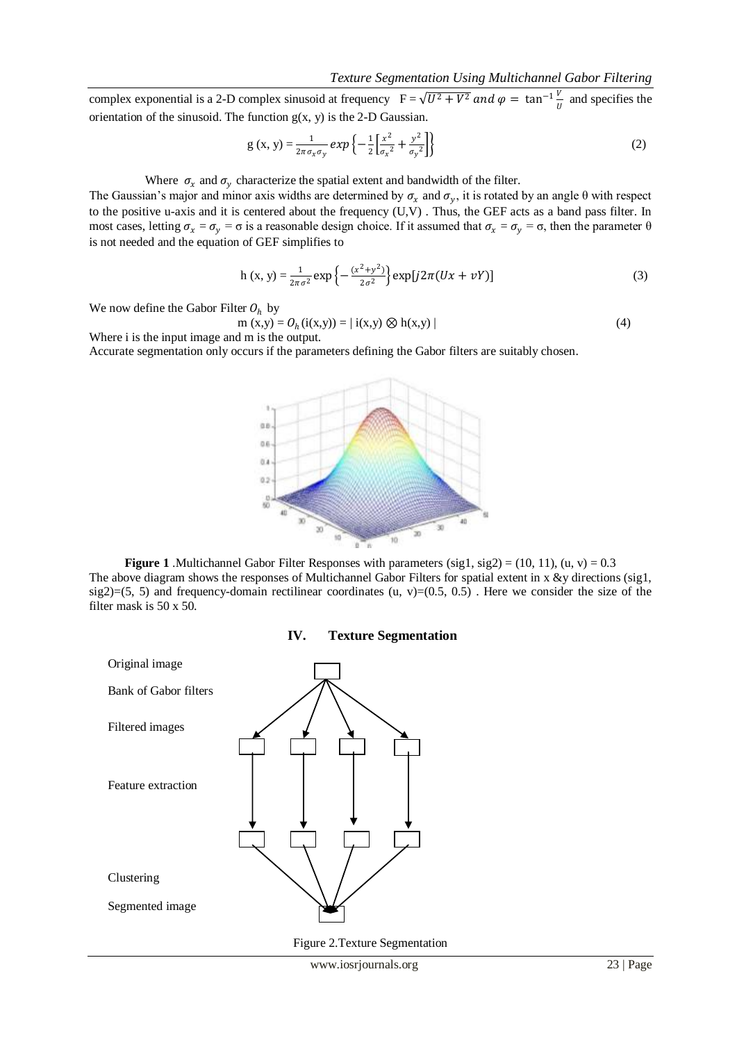complex exponential is a 2-D complex sinusoid at frequency  $F = \sqrt{U^2 + V^2}$  and  $\varphi = \tan^{-1} \frac{V}{U}$  $\frac{v}{U}$  and specifies the orientation of the sinusoid. The function  $g(x, y)$  is the 2-D Gaussian.

$$
g(x, y) = \frac{1}{2\pi\sigma_x \sigma_y} exp\left\{-\frac{1}{2} \left[ \frac{x^2}{\sigma_x^2} + \frac{y^2}{\sigma_y^2} \right] \right\}
$$
 (2)

#### Where  $\sigma_x$  and  $\sigma_y$  characterize the spatial extent and bandwidth of the filter.

The Gaussian's major and minor axis widths are determined by  $\sigma_x$  and  $\sigma_y$ , it is rotated by an angle  $\theta$  with respect to the positive u-axis and it is centered about the frequency (U,V) . Thus, the GEF acts as a band pass filter. In most cases, letting  $\sigma_x = \sigma_y = \sigma$  is a reasonable design choice. If it assumed that  $\sigma_x = \sigma_y = \sigma$ , then the parameter  $\theta$ is not needed and the equation of GEF simplifies to

h (x, y) = 
$$
\frac{1}{2\pi\sigma^2}
$$
 exp $\left\{-\frac{(x^2+y^2)}{2\sigma^2}\right\}$  exp[ $j2\pi(Ux + vY)$ ] (3)

We now define the Gabor Filter  $O_h$  by

$$
m(x,y) = O_h(i(x,y)) = | i(x,y) \otimes h(x,y) |
$$
\n(4)

\n(4)

Accurate segmentation only occurs if the parameters defining the Gabor filters are suitably chosen.



**Figure 1** .Multichannel Gabor Filter Responses with parameters  $(sig1, sig2) = (10, 11)$ ,  $(u, v) = 0.3$ The above diagram shows the responses of Multichannel Gabor Filters for spatial extent in x &y directions (sig1, sig2)=(5, 5) and frequency-domain rectilinear coordinates (u, v)=(0.5, 0.5). Here we consider the size of the filter mask is 50 x 50.





Figure 2.Texture Segmentation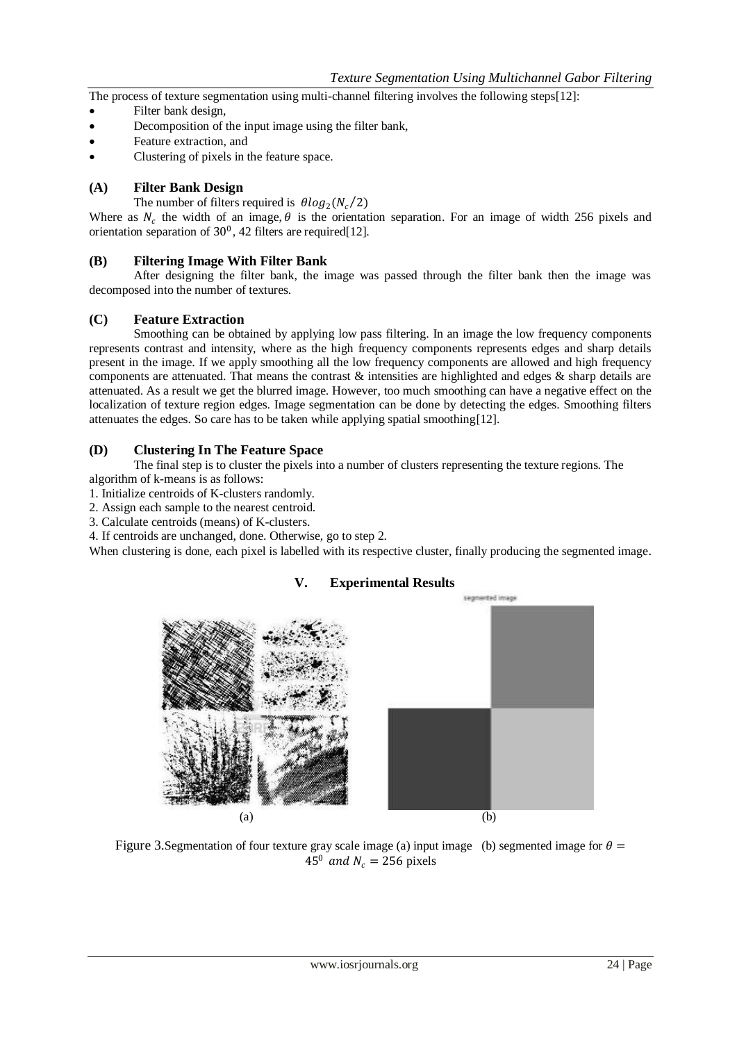The process of texture segmentation using multi-channel filtering involves the following steps[12]:

- Filter bank design,
- Decomposition of the input image using the filter bank,
- Feature extraction, and
- Clustering of pixels in the feature space.

## **(A) Filter Bank Design**

The number of filters required is  $\theta log_2(N_c/2)$ 

Where as  $N_c$  the width of an image,  $\theta$  is the orientation separation. For an image of width 256 pixels and orientation separation of  $30^0$ , 42 filters are required[12].

## **(B) Filtering Image With Filter Bank**

After designing the filter bank, the image was passed through the filter bank then the image was decomposed into the number of textures.

#### **(C) Feature Extraction**

Smoothing can be obtained by applying low pass filtering. In an image the low frequency components represents contrast and intensity, where as the high frequency components represents edges and sharp details present in the image. If we apply smoothing all the low frequency components are allowed and high frequency components are attenuated. That means the contrast  $\&$  intensities are highlighted and edges  $\&$  sharp details are attenuated. As a result we get the blurred image. However, too much smoothing can have a negative effect on the localization of texture region edges. Image segmentation can be done by detecting the edges. Smoothing filters attenuates the edges. So care has to be taken while applying spatial smoothing[12].

#### **(D) Clustering In The Feature Space**

The final step is to cluster the pixels into a number of clusters representing the texture regions. The algorithm of k-means is as follows:

- 1. Initialize centroids of K-clusters randomly.
- 2. Assign each sample to the nearest centroid.
- 3. Calculate centroids (means) of K-clusters.
- 4. If centroids are unchanged, done. Otherwise, go to step 2.

When clustering is done, each pixel is labelled with its respective cluster, finally producing the segmented image.



## **V. Experimental Results**

Figure 3. Segmentation of four texture gray scale image (a) input image (b) segmented image for  $\theta$  =  $45^{\circ}$  and  $N_e = 256$  pixels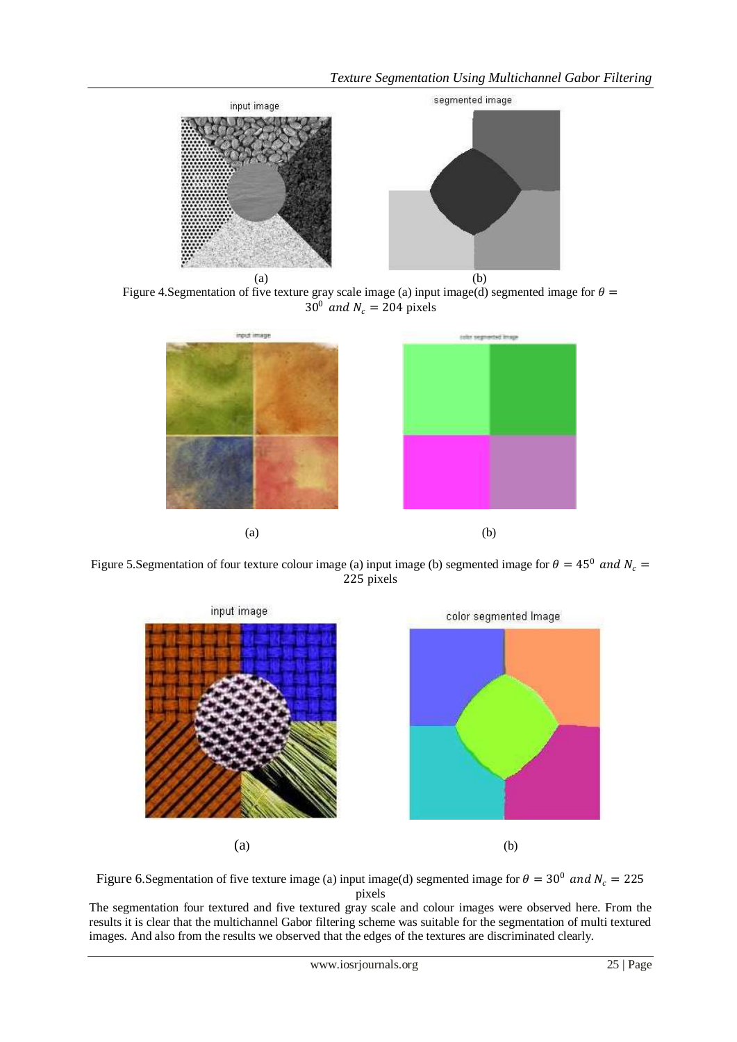

Figure 4. Segmentation of five texture gray scale image (a) input image(d) segmented image for  $\theta$  =  $30^0$  and  $N_c = 204$  pixels



Figure 5. Segmentation of four texture colour image (a) input image (b) segmented image for  $\theta = 45^{\circ}$  and  $N_c =$ 225 pixels





The segmentation four textured and five textured gray scale and colour images were observed here. From the results it is clear that the multichannel Gabor filtering scheme was suitable for the segmentation of multi textured images. And also from the results we observed that the edges of the textures are discriminated clearly.